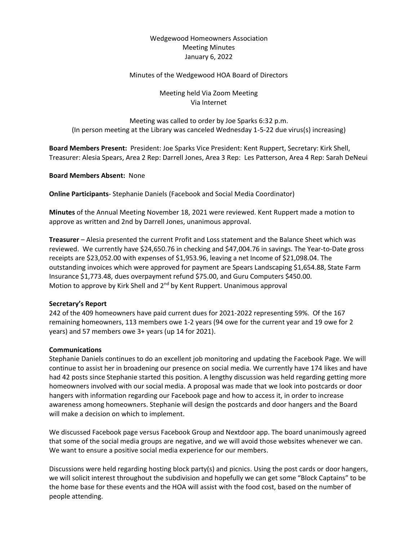# Wedgewood Homeowners Association Meeting Minutes January 6, 2022

### Minutes of the Wedgewood HOA Board of Directors

## Meeting held Via Zoom Meeting Via Internet

Meeting was called to order by Joe Sparks 6:32 p.m. (In person meeting at the Library was canceled Wednesday 1-5-22 due virus(s) increasing)

**Board Members Present:** President: Joe Sparks Vice President: Kent Ruppert, Secretary: Kirk Shell, Treasurer: Alesia Spears, Area 2 Rep: Darrell Jones, Area 3 Rep: Les Patterson, Area 4 Rep: Sarah DeNeui

#### **Board Members Absent:** None

**Online Participants**- Stephanie Daniels (Facebook and Social Media Coordinator)

**Minutes** of the Annual Meeting November 18, 2021 were reviewed. Kent Ruppert made a motion to approve as written and 2nd by Darrell Jones, unanimous approval.

**Treasurer** – Alesia presented the current Profit and Loss statement and the Balance Sheet which was reviewed. We currently have \$24,650.76 in checking and \$47,004.76 in savings. The Year-to-Date gross receipts are \$23,052.00 with expenses of \$1,953.96, leaving a net Income of \$21,098.04. The outstanding invoices which were approved for payment are Spears Landscaping \$1,654.88, State Farm Insurance \$1,773.48, dues overpayment refund \$75.00, and Guru Computers \$450.00. Motion to approve by Kirk Shell and 2<sup>nd</sup> by Kent Ruppert. Unanimous approval

### **Secretary's Report**

242 of the 409 homeowners have paid current dues for 2021-2022 representing 59%. Of the 167 remaining homeowners, 113 members owe 1-2 years (94 owe for the current year and 19 owe for 2 years) and 57 members owe 3+ years (up 14 for 2021).

#### **Communications**

Stephanie Daniels continues to do an excellent job monitoring and updating the Facebook Page. We will continue to assist her in broadening our presence on social media. We currently have 174 likes and have had 42 posts since Stephanie started this position. A lengthy discussion was held regarding getting more homeowners involved with our social media. A proposal was made that we look into postcards or door hangers with information regarding our Facebook page and how to access it, in order to increase awareness among homeowners. Stephanie will design the postcards and door hangers and the Board will make a decision on which to implement.

We discussed Facebook page versus Facebook Group and Nextdoor app. The board unanimously agreed that some of the social media groups are negative, and we will avoid those websites whenever we can. We want to ensure a positive social media experience for our members.

Discussions were held regarding hosting block party(s) and picnics. Using the post cards or door hangers, we will solicit interest throughout the subdivision and hopefully we can get some "Block Captains" to be the home base for these events and the HOA will assist with the food cost, based on the number of people attending.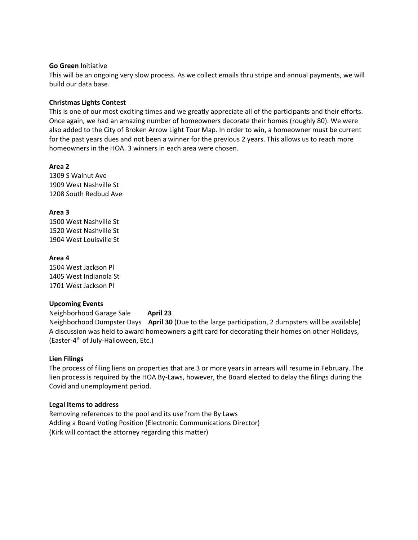#### **Go Green** Initiative

This will be an ongoing very slow process. As we collect emails thru stripe and annual payments, we will build our data base.

#### **Christmas Lights Contest**

This is one of our most exciting times and we greatly appreciate all of the participants and their efforts. Once again, we had an amazing number of homeowners decorate their homes (roughly 80). We were also added to the City of Broken Arrow Light Tour Map. In order to win, a homeowner must be current for the past years dues and not been a winner for the previous 2 years. This allows us to reach more homeowners in the HOA. 3 winners in each area were chosen.

### **Area 2**

1309 S Walnut Ave 1909 West Nashville St 1208 South Redbud Ave

# **Area 3**

1500 West Nashville St 1520 West Nashville St 1904 West Louisville St

### **Area 4**

1504 West Jackson Pl 1405 West Indianola St 1701 West Jackson Pl

### **Upcoming Events**

Neighborhood Garage Sale **April 23**

Neighborhood Dumpster Days **April 30** (Due to the large participation, 2 dumpsters will be available) A discussion was held to award homeowners a gift card for decorating their homes on other Holidays, (Easter-4<sup>th</sup> of July-Halloween, Etc.)

### **Lien Filings**

The process of filing liens on properties that are 3 or more years in arrears will resume in February. The lien process is required by the HOA By-Laws, however, the Board elected to delay the filings during the Covid and unemployment period.

### **Legal Items to address**

Removing references to the pool and its use from the By Laws Adding a Board Voting Position (Electronic Communications Director) (Kirk will contact the attorney regarding this matter)